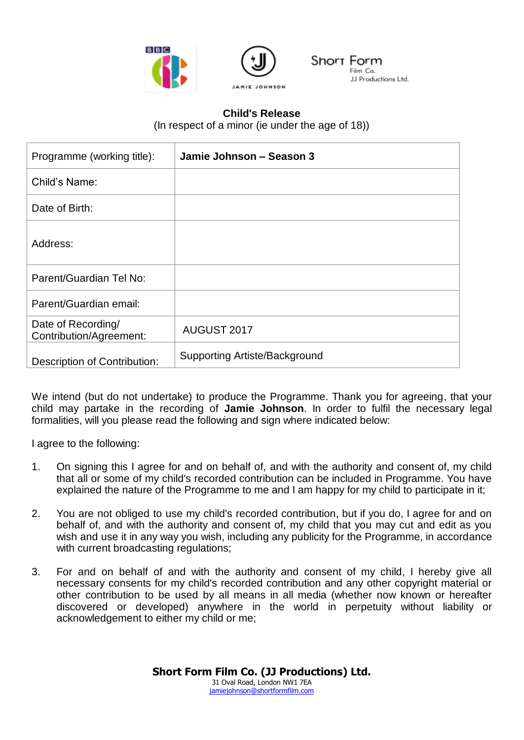



## **Child's Release**

(In respect of a minor (ie under the age of 18))

| Programme (working title):                    | Jamie Johnson - Season 3             |
|-----------------------------------------------|--------------------------------------|
| Child's Name:                                 |                                      |
| Date of Birth:                                |                                      |
| Address:                                      |                                      |
| Parent/Guardian Tel No:                       |                                      |
| Parent/Guardian email:                        |                                      |
| Date of Recording/<br>Contribution/Agreement: | AUGUST 2017                          |
| <b>Description of Contribution:</b>           | <b>Supporting Artiste/Background</b> |

We intend (but do not undertake) to produce the Programme. Thank you for agreeing, that your child may partake in the recording of **Jamie Johnson**. In order to fulfil the necessary legal formalities, will you please read the following and sign where indicated below:

I agree to the following:

- 1. On signing this I agree for and on behalf of, and with the authority and consent of, my child that all or some of my child's recorded contribution can be included in Programme. You have explained the nature of the Programme to me and I am happy for my child to participate in it;
- 2. You are not obliged to use my child's recorded contribution, but if you do, I agree for and on behalf of, and with the authority and consent of, my child that you may cut and edit as you wish and use it in any way you wish, including any publicity for the Programme, in accordance with current broadcasting regulations;
- 3. For and on behalf of and with the authority and consent of my child, I hereby give all necessary consents for my child's recorded contribution and any other copyright material or other contribution to be used by all means in all media (whether now known or hereafter discovered or developed) anywhere in the world in perpetuity without liability or acknowledgement to either my child or me;